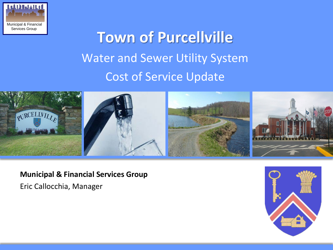

# **Town of Purcellville** Water and Sewer Utility System Cost of Service Update



**Municipal & Financial Services Group** Eric Callocchia, Manager

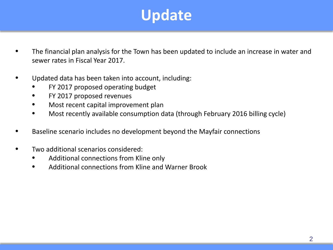## **Update**

- The financial plan analysis for the Town has been updated to include an increase in water and sewer rates in Fiscal Year 2017.
- Updated data has been taken into account, including:
	- FY 2017 proposed operating budget
	- FY 2017 proposed revenues
	- Most recent capital improvement plan
	- Most recently available consumption data (through February 2016 billing cycle)
- Baseline scenario includes no development beyond the Mayfair connections
- Two additional scenarios considered:
	- Additional connections from Kline only
	- Additional connections from Kline and Warner Brook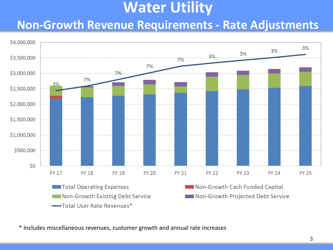## **Water Utility**

#### **Non-Growth Revenue Requirements - Rate Adjustments**



\* Includes miscellaneous revenues, customer growth and annual rate increases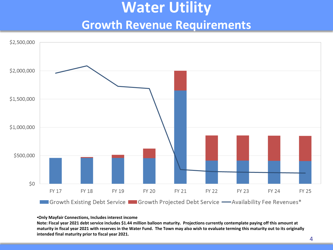## **Water Utility**

#### **Growth Revenue Requirements**



#### •**Only Mayfair Connections, Includes interest income**

**Note: Fiscal year 2021 debt service includes \$1.44 million balloon maturity. Projections currently contemplate paying off this amount at maturity in fiscal year 2021 with reserves in the Water Fund. The Town may also wish to evaluate terming this maturity out to its originally intended final maturity prior to fiscal year 2021.**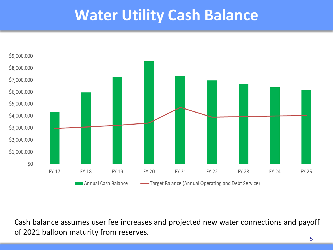## **Water Utility Cash Balance**



Cash balance assumes user fee increases and projected new water connections and payoff of 2021 balloon maturity from reserves.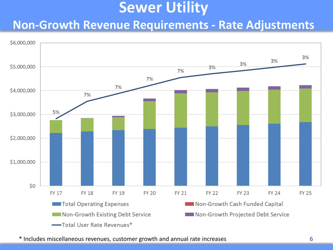## **Sewer Utility**

#### **Non-Growth Revenue Requirements - Rate Adjustments**



\* Includes miscellaneous revenues, customer growth and annual rate increases 6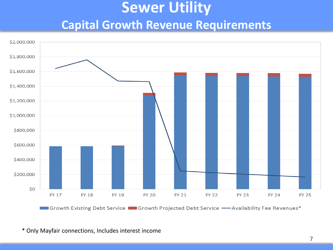#### **Sewer Utility**

#### **Capital Growth Revenue Requirements**



\* Only Mayfair connections, Includes interest income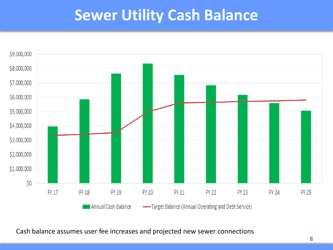## **Sewer Utility Cash Balance**



Cash balance assumes user fee increases and projected new sewer connections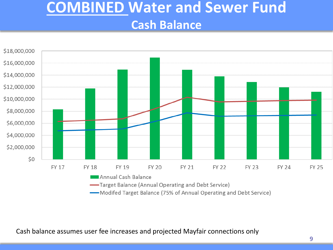## **COMBINED Water and Sewer Fund Cash Balance**



Cash balance assumes user fee increases and projected Mayfair connections only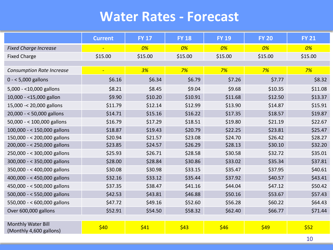#### **Water Rates - Forecast**

|                                                      | <b>Current</b> | <b>FY 17</b> | <b>FY 18</b> | <b>FY 19</b> | <b>FY 20</b> | <b>FY 21</b> |
|------------------------------------------------------|----------------|--------------|--------------|--------------|--------------|--------------|
| <b>Fixed Charge Increase</b>                         |                | 0%           | 0%           | 0%           | 0%           | 0%           |
| <b>Fixed Charge</b>                                  | \$15.00        | \$15.00      | \$15.00      | \$15.00      | \$15.00      | \$15.00      |
|                                                      |                |              |              |              |              |              |
| <b>Consumption Rate Increase</b>                     | $\blacksquare$ | 3%           | 7%           | 7%           | 7%           | 7%           |
| $0 - 5,000$ gallons                                  | \$6.16         | \$6.34       | \$6.79       | \$7.26       | \$7.77       | \$8.32       |
| 5,000 - < 10,000 gallons                             | \$8.21         | \$8.45       | \$9.04       | \$9.68       | \$10.35      | \$11.08      |
| 10,000 - <15,000 gallon                              | \$9.90         | \$10.20      | \$10.91      | \$11.68      | \$12.50      | \$13.37      |
| 15,000 -< 20,000 gallons                             | \$11.79        | \$12.14      | \$12.99      | \$13.90      | \$14.87      | \$15.91      |
| 20,000 - < 50,000 gallons                            | \$14.71        | \$15.16      | \$16.22      | \$17.35      | \$18.57      | \$19.87      |
| 50,000 - < 100,000 gallons                           | \$16.79        | \$17.29      | \$18.51      | \$19.80      | \$21.19      | \$22.67      |
| 100,000 - < 150,000 gallons                          | \$18.87        | \$19.43      | \$20.79      | \$22.25      | \$23.81      | \$25.47      |
| 150,000 - < 200,000 gallons                          | \$20.94        | \$21.57      | \$23.08      | \$24.70      | \$26.42      | \$28.27      |
| 200,000 - < 250,000 gallons                          | \$23.85        | \$24.57      | \$26.29      | \$28.13      | \$30.10      | \$32.20      |
| 250,000 - < 300,000 gallons                          | \$25.93        | \$26.71      | \$28.58      | \$30.58      | \$32.72      | \$35.01      |
| 300,000 - < 350,000 gallons                          | \$28.00        | \$28.84      | \$30.86      | \$33.02      | \$35.34      | \$37.81      |
| 350,000 - < 400,000 gallons                          | \$30.08        | \$30.98      | \$33.15      | \$35.47      | \$37.95      | \$40.61      |
| 400,000 - < 450,000 gallons                          | \$32.16        | \$33.12      | \$35.44      | \$37.92      | \$40.57      | \$43.41      |
| 450,000 - < 500,000 gallons                          | \$37.35        | \$38.47      | \$41.16      | \$44.04      | \$47.12      | \$50.42      |
| 500,000 - < 550,000 gallons                          | \$42.53        | \$43.81      | \$46.88      | \$50.16      | \$53.67      | \$57.43      |
| 550,000 - < 600,000 gallons                          | \$47.72        | \$49.16      | \$52.60      | \$56.28      | \$60.22      | \$64.43      |
| Over 600,000 gallons                                 | \$52.91        | \$54.50      | \$58.32      | \$62.40      | \$66.77      | \$71.44      |
|                                                      |                |              |              |              |              |              |
| <b>Monthly Water Bill</b><br>(Monthly 4,600 gallons) | \$40           | \$41         | \$43         | \$46         | \$49         | \$52         |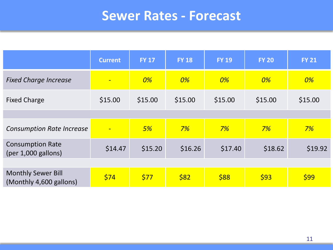#### **Sewer Rates - Forecast**

|                                                      | <b>Current</b> | <b>FY 17</b> | <b>FY 18</b> | <b>FY 19</b> | <b>FY 20</b> | <b>FY 21</b> |
|------------------------------------------------------|----------------|--------------|--------------|--------------|--------------|--------------|
| <b>Fixed Charge Increase</b>                         | $\blacksquare$ | 0%           | 0%           | 0%           | 0%           | 0%           |
| <b>Fixed Charge</b>                                  | \$15.00        | \$15.00      | \$15.00      | \$15.00      | \$15.00      | \$15.00      |
|                                                      |                |              |              |              |              |              |
| <b>Consumption Rate Increase</b>                     | $\blacksquare$ | 5%           | 7%           | 7%           | 7%           | 7%           |
| <b>Consumption Rate</b><br>$(per 1,000$ gallons)     | \$14.47        | \$15.20      | \$16.26      | \$17.40      | \$18.62      | \$19.92      |
|                                                      |                |              |              |              |              |              |
| <b>Monthly Sewer Bill</b><br>(Monthly 4,600 gallons) | \$74           | \$77         | \$82         | \$88         | \$93         | \$99         |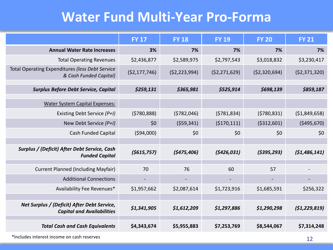#### **Water Fund Multi-Year Pro-Forma**

|                                                                                  | <b>FY 17</b>   | <b>FY 18</b>   | <b>FY 19</b>   | <b>FY 20</b>   | <b>FY 21</b>   |
|----------------------------------------------------------------------------------|----------------|----------------|----------------|----------------|----------------|
| <b>Annual Water Rate Increases</b>                                               | 3%             | 7%             | 7%             | 7%             | 7%             |
| <b>Total Operating Revenues</b>                                                  | \$2,436,877    | \$2,589,975    | \$2,797,543    | \$3,018,832    | \$3,230,417    |
| Total Operating Expenditures (less Debt Service<br>& Cash Funded Capital)        | (52, 177, 746) | (52, 223, 994) | (52, 271, 629) | ( \$2,320,694) | (52, 371, 320) |
| <b>Surplus Before Debt Service, Capital</b>                                      | \$259,131      | \$365,981      | \$525,914      | \$698,139      | \$859,187      |
| Water System Capital Expenses:                                                   |                |                |                |                |                |
| Existing Debt Service (P+I)                                                      | (5780, 888)    | (5782,046)     | (5781, 834)    | (5780, 831)    | ( \$1,849,658) |
| New Debt Service (P+I)                                                           | \$0            | (559, 341)     | (5170, 111)    | ( \$312, 601)  | ( \$495,670)   |
| <b>Cash Funded Capital</b>                                                       | (594,000)      | \$0            | \$0            | \$0            | \$0            |
|                                                                                  |                |                |                |                |                |
| Surplus / (Deficit) After Debt Service, Cash<br><b>Funded Capital</b>            | (5615, 757)    | (5475, 406)    | (5426, 031)    | (5395, 293)    | (51, 486, 141) |
| <b>Current Planned (Including Mayfair)</b>                                       | 70             | 76             | 60             | 57             |                |
| <b>Additional Connections</b>                                                    |                |                | $\blacksquare$ |                |                |
| Availability Fee Revenues*                                                       | \$1,957,662    | \$2,087,614    | \$1,723,916    | \$1,685,591    | \$256,322      |
|                                                                                  |                |                |                |                |                |
| Net Surplus / (Deficit) After Debt Service,<br><b>Capital and Availabilities</b> | \$1,341,905    | \$1,612,209    | \$1,297,886    | \$1,290,298    | (51, 229, 819) |
| <b>Total Cash and Cash Equivalents</b>                                           | \$4,343,674    | \$5,955,883    | \$7,253,769    | \$8,544,067    | \$7,314,248    |

12 \*Includes interest income on cash reserves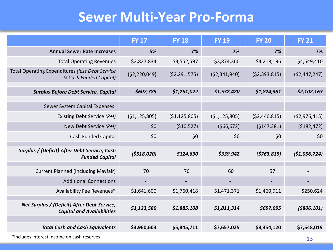#### **Sewer Multi-Year Pro-Forma**

|                                                                                  | <b>FY 17</b>   | <b>FY 18</b>   | <b>FY 19</b>   | <b>FY 20</b>   | <b>FY 21</b>   |
|----------------------------------------------------------------------------------|----------------|----------------|----------------|----------------|----------------|
| <b>Annual Sewer Rate Increases</b>                                               | 5%             | 7%             | 7%             | 7%             | 7%             |
| <b>Total Operating Revenues</b>                                                  | \$2,827,834    | \$3,552,597    | \$3,874,360    | \$4,218,196    | \$4,549,410    |
| Total Operating Expenditures (less Debt Service<br>& Cash Funded Capital)        | (52, 220, 049) | (52, 291, 575) | (52,341,940)   | (52, 393, 815) | (52, 447, 247) |
| <b>Surplus Before Debt Service, Capital</b>                                      | \$607,785      | \$1,261,022    | \$1,532,420    | \$1,824,381    | \$2,102,163    |
| Sewer System Capital Expenses:                                                   |                |                |                |                |                |
| Existing Debt Service (P+I)                                                      | (51, 125, 805) | ( \$1,125,805) | (51, 125, 805) | (52, 440, 815) | (52, 976, 415) |
| New Debt Service (P+I)                                                           | \$0            | (\$10,527)     | (566, 672)     | (5147, 381)    | (\$182,472)    |
| Cash Funded Capital                                                              | \$0            | \$0            | \$0            | \$0            | \$0            |
| Surplus / (Deficit) After Debt Service, Cash<br><b>Funded Capital</b>            | (5518, 020)    | \$124,690      | \$339,942      | (5763, 815)    | (51,056,724)   |
| <b>Current Planned (Including Mayfair)</b>                                       | 70             | 76             | 60             | 57             |                |
| <b>Additional Connections</b>                                                    |                |                |                |                |                |
| Availability Fee Revenues*                                                       | \$1,641,600    | \$1,760,418    | \$1,471,371    | \$1,460,911    | \$250,624      |
| Net Surplus / (Deficit) After Debt Service,<br><b>Capital and Availabilities</b> | \$1,123,580    | \$1,885,108    | \$1,811,314    | \$697,095      | ( \$806, 101)  |
| <b>Total Cash and Cash Equivalents</b>                                           | \$3,960,603    | \$5,845,711    | \$7,657,025    | \$8,354,120    | \$7,548,019    |

13 \*Includes interest income on cash reserves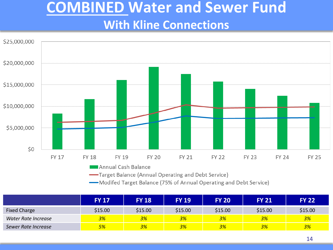#### **COMBINED Water and Sewer Fund With Kline Connections**



-Target Balance (Annual Operating and Debt Service)

-Modifed Target Balance (75% of Annual Operating and Debt Service)

|                     | <b>FY 17</b> | <b>FY 18</b> | <b>FY 19</b> | <b>FY 20</b> | <b>FY 21</b> | <b>FY 22</b> |
|---------------------|--------------|--------------|--------------|--------------|--------------|--------------|
| <b>Fixed Charge</b> | \$15.00      | \$15.00      | \$15.00      | \$15.00      | \$15.00      | \$15.00      |
| Water Rate Increase | 3%           | 3%           | 3%           | 3%           | 3%           | 3%           |
| Sewer Rate Increase | 5%           | 3%           | 3%           | 3%           | 3%           | 3%           |